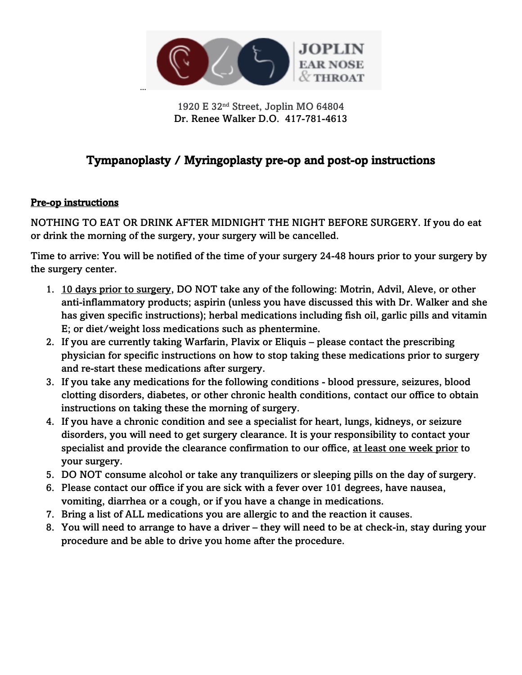

1920 E 32nd Street, Joplin MO 64804 Dr. Renee Walker D.O. 417-781-4613

# Tympanoplasty / Myringoplasty pre-op and post-op instructions

#### Pre-op instructions

NOTHING TO EAT OR DRINK AFTER MIDNIGHT THE NIGHT BEFORE SURGERY. If you do eat or drink the morning of the surgery, your surgery will be cancelled.

Time to arrive: You will be notified of the time of your surgery 24-48 hours prior to your surgery by the surgery center.

- 1. 10 days prior to surgery, DO NOT take any of the following: Motrin, Advil, Aleve, or other anti-inflammatory products; aspirin (unless you have discussed this with Dr. Walker and she has given specific instructions); herbal medications including fish oil, garlic pills and vitamin E; or diet/weight loss medications such as phentermine.
- 2. If you are currently taking Warfarin, Plavix or Eliquis please contact the prescribing physician for specific instructions on how to stop taking these medications prior to surgery and re-start these medications after surgery.
- 3. If you take any medications for the following conditions blood pressure, seizures, blood clotting disorders, diabetes, or other chronic health conditions, contact our office to obtain instructions on taking these the morning of surgery.
- 4. If you have a chronic condition and see a specialist for heart, lungs, kidneys, or seizure disorders, you will need to get surgery clearance. It is your responsibility to contact your specialist and provide the clearance confirmation to our office, at least one week prior to your surgery.
- 5. DO NOT consume alcohol or take any tranquilizers or sleeping pills on the day of surgery.
- 6. Please contact our office if you are sick with a fever over 101 degrees, have nausea, vomiting, diarrhea or a cough, or if you have a change in medications.
- 7. Bring a list of ALL medications you are allergic to and the reaction it causes.
- 8. You will need to arrange to have a driver they will need to be at check-in, stay during your procedure and be able to drive you home after the procedure.